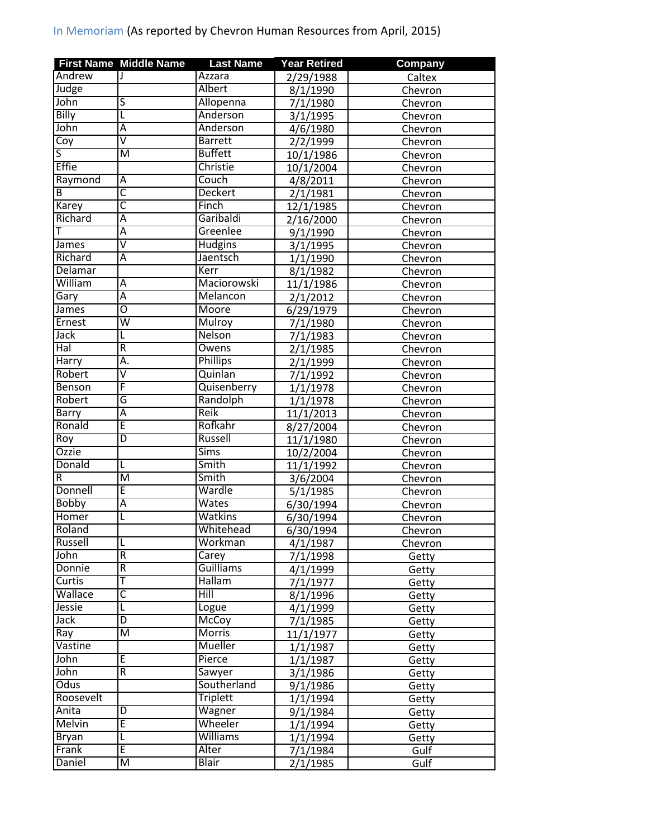|                         | <b>First Name Middle Name</b> | <b>Last Name</b> | <b>Year Retired</b>    | <b>Company</b> |
|-------------------------|-------------------------------|------------------|------------------------|----------------|
| Andrew                  |                               | Azzara           | 2/29/1988              | Caltex         |
| Judge                   |                               | Albert           | 8/1/1990               | Chevron        |
| John                    | S                             | Allopenna        | 7/1/1980               | Chevron        |
| Billy                   | L                             | Anderson         | 3/1/1995               | Chevron        |
| John                    | Ā                             | Anderson         | 4/6/1980               | Chevron        |
| $\overline{\text{Coy}}$ | $\overline{\mathtt{v}}$       | <b>Barrett</b>   | 2/2/1999               | Chevron        |
| S                       | $\overline{\mathsf{M}}$       | <b>Buffett</b>   | 10/1/1986              | Chevron        |
| <b>Effie</b>            |                               | Christie         | 10/1/2004              | Chevron        |
| Raymond                 | Ā                             | Couch            | 4/8/2011               | Chevron        |
| В                       | $\overline{\mathsf{c}}$       | <b>Deckert</b>   | 2/1/1981               | Chevron        |
| <b>Karey</b>            | $\overline{\mathsf{c}}$       | Finch            | 12/1/1985              | Chevron        |
| Richard                 | Ā                             | Garibaldi        | 2/16/2000              | Chevron        |
| т                       | Ā                             | Greenlee         | 9/1/1990               | Chevron        |
| <b>James</b>            | $\overline{\mathsf{V}}$       | Hudgins          | 3/1/1995               | Chevron        |
| Richard                 | Α                             | Jaentsch         | 1/1/1990               | Chevron        |
| Delamar                 |                               | Kerr             | 8/1/1982               | Chevron        |
| William                 | Α                             | Maciorowski      | 11/1/1986              | Chevron        |
| Gary                    | Ā                             | Melancon         | 2/1/2012               | Chevron        |
| James                   | $\overline{\mathsf{o}}$       | Moore            | 6/29/1979              | Chevron        |
| Ernest                  | $\overline{\mathsf{w}}$       | Mulroy           | 7/1/1980               | Chevron        |
| Jack                    |                               | <b>Nelson</b>    | $\frac{1}{7}{1}$ /1983 |                |
| Hal                     | $\overline{\mathsf{R}}$       | Owens            |                        | Chevron        |
| <b>Harry</b>            | Ā.                            | <b>Phillips</b>  | 2/1/1985               | Chevron        |
| Robert                  | $\overline{\mathsf{v}}$       |                  | 2/1/1999               | Chevron        |
|                         | F                             | Quinlan          | 7/1/1992               | Chevron        |
| Benson                  | G                             | Quisenberry      | 1/1/1978               | Chevron        |
| Robert                  |                               | Randolph         | 1/1/1978               | Chevron        |
| Barry                   | Ā                             | <b>Reik</b>      | 11/1/2013              | Chevron        |
| Ronald                  | Ē                             | Rofkahr          | 8/27/2004              | Chevron        |
| Roy                     | $\overline{\mathsf{D}}$       | Russell          | 11/1/1980              | Chevron        |
| <b>Ozzie</b>            |                               | <b>Sims</b>      | 10/2/2004              | Chevron        |
| Donald                  | L                             | Smith            | 11/1/1992              | Chevron        |
| R                       | $\overline{\mathsf{M}}$       | Smith            | 3/6/2004               | Chevron        |
| Donnell                 | Ē                             | Wardle           | 5/1/1985               | Chevron        |
| <b>Bobby</b>            | Ā                             | Wates            | 6/30/1994              | Chevron        |
| Homer                   | L                             | Watkins          | 6/30/1994              | Chevron        |
| Roland                  |                               | Whitehead        | 6/30/1994              | Chevron        |
| Russell                 | L                             | Workman          | 4/1/1987               | Chevron        |
| John                    | R                             | Carey            | 7/1/1998               | Getty          |
| Donnie                  | R                             | <b>Guilliams</b> | 4/1/1999               | Getty          |
| <b>Curtis</b>           | т                             | Hallam           | 7/1/1977               | Getty          |
| Wallace                 | $\overline{\mathsf{c}}$       | Hill             | 8/1/1996               | Getty          |
| Jessie                  | L                             | Logue            | 4/1/1999               | Getty          |
| Jack                    | $\overline{\mathsf{D}}$       | McCoy            | $\frac{1}{7}$ /1/1985  | Getty          |
| Ray                     | M                             | Morris           | 11/1/1977              | Getty          |
| Vastine                 |                               | Mueller          | 1/1/1987               | Getty          |
| John                    | E                             | Pierce           | 1/1/1987               | Getty          |
| John                    | R                             | Sawyer           | 3/1/1986               | Getty          |
| <b>Odus</b>             |                               | Southerland      | 9/1/1986               | Getty          |
| Roosevelt               |                               | <b>Triplett</b>  | 1/1/1994               | Getty          |
| Anita                   | D                             | Wagner           | 9/1/1984               | Getty          |
| Melvin                  | Ē                             | Wheeler          | 1/1/1994               | Getty          |
| Bryan                   | L                             | <b>Williams</b>  | 1/1/1994               | Getty          |
| Frank                   | E                             | Alter            | 7/1/1984               | Gulf           |
| Daniel                  | M                             | <b>Blair</b>     | 2/1/1985               | Gulf           |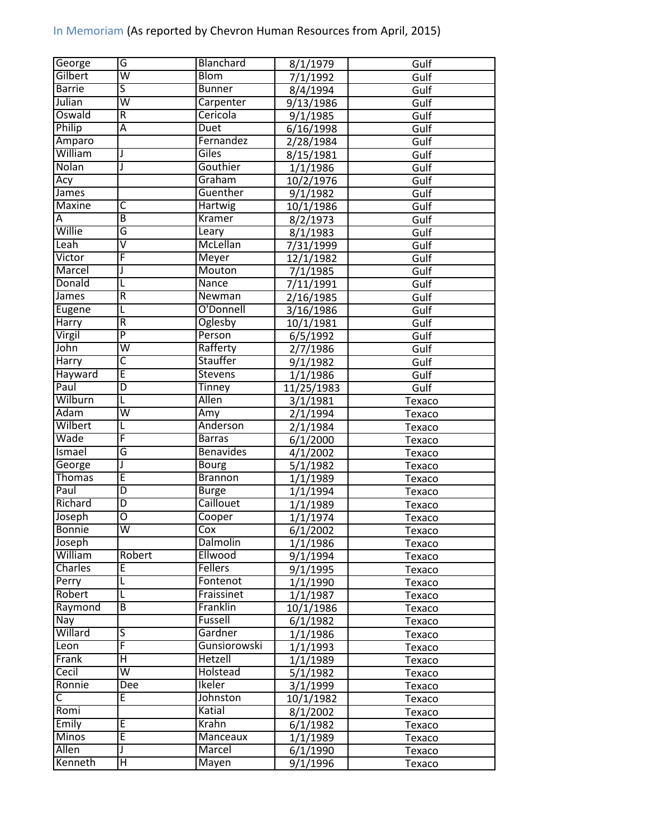| George                  | G                       | Blanchard                  | 8/1/1979             | Gulf   |
|-------------------------|-------------------------|----------------------------|----------------------|--------|
| Gilbert                 | $\overline{\mathsf{w}}$ | <b>Blom</b>                | 7/1/1992             | Gulf   |
| <b>Barrie</b>           | $\overline{\mathsf{s}}$ | <b>Bunner</b>              | 8/4/1994             | Gulf   |
| Julian                  | $\overline{\mathsf{w}}$ | Carpenter                  | 9/13/1986            | Gulf   |
| Oswald                  | $\overline{\mathsf{R}}$ | Cericola                   | 9/1/1985             | Gulf   |
| Philip                  | Ā                       | Duet                       | 6/16/1998            | Gulf   |
| Amparo                  |                         | Fernandez                  | 2/28/1984            | Gulf   |
| William                 | J                       | Giles                      | 8/15/1981            | Gulf   |
| Nolan                   | J                       | Gouthier                   | 1/1/1986             | Gulf   |
| Acy                     |                         | Graham                     | 10/2/1976            | Gulf   |
| James                   |                         | Guenther                   | 9/1/1982             | Gulf   |
| <b>Maxine</b>           | C                       | Hartwig                    | 10/1/1986            | Gulf   |
| Α                       | $\overline{B}$          | Kramer                     | 8/2/1973             | Gulf   |
| Willie                  | G                       | Leary                      | 8/1/1983             | Gulf   |
| Leah                    | $\overline{\mathsf{v}}$ | McLellan                   | 7/31/1999            | Gulf   |
| Victor                  | F                       | Meyer                      | 12/1/1982            | Gulf   |
| Marcel                  | J                       | Mouton                     | 7/1/1985             | Gulf   |
| Donald                  |                         | Nance                      | 7/11/1991            | Gulf   |
| James                   | $\mathsf R$             | Newman                     | 2/16/1985            | Gulf   |
| Eugene                  | L                       | O'Donnell                  | 3/16/1986            | Gulf   |
| Harry                   | R                       | Oglesby                    | 10/1/1981            | Gulf   |
| Virgil                  | $\overline{P}$          | Person                     | 6/5/1992             | Gulf   |
| John                    | $\overline{\mathsf{w}}$ | Rafferty                   |                      | Gulf   |
| <b>Harry</b>            | $\overline{\mathsf{C}}$ | Stauffer                   | 2/7/1986<br>9/1/1982 | Gulf   |
| Hayward                 | Ē                       | <b>Stevens</b>             |                      |        |
| Paul                    | D                       | <b>Tinney</b>              | 1/1/1986             | Gulf   |
| Wilburn                 | L                       | <b>Allen</b>               | 11/25/1983           | Gulf   |
| Adam                    | $\overline{\mathsf{w}}$ | Amy                        | 3/1/1981             | Texaco |
| Wilbert                 | L                       | Anderson                   | 2/1/1994             | Texaco |
| Wade                    | F                       | <b>Barras</b>              | 2/1/1984             | Texaco |
| Ismael                  | G                       | <b>Benavides</b>           | 6/1/2000             | Texaco |
|                         | J                       | <b>Bourg</b>               | 4/1/2002             | Texaco |
| George<br><b>Thomas</b> | Ē                       | <b>Brannon</b>             | 5/1/1982             | Texaco |
| Paul                    | $\overline{D}$          | <b>Burge</b>               | 1/1/1989             | Texaco |
| Richard                 | D                       | Caillouet                  | 1/1/1994             | Texaco |
| Joseph                  | Ō                       |                            | 1/1/1989             | Texaco |
|                         |                         | Cooper                     | 1/1/1974             | Texaco |
| <b>Bonnie</b>           | W                       | Cox                        | 6/1/2002             | Texaco |
| Joseph<br>William       | Robert                  | <b>Dalmolin</b><br>Ellwood | 1/1/1986             | Texaco |
|                         |                         |                            | 9/1/1994             | Texaco |
| Charles                 | E                       | <b>Fellers</b>             | 9/1/1995             | Texaco |
| Perry                   |                         | Fontenot                   | 1/1/1990             | Texaco |
| Robert                  |                         | Fraissinet                 | 1/1/1987             | Texaco |
| Raymond                 | B                       | Franklin                   | 10/1/1986            | Texaco |
| Nay                     |                         | Fussell                    | 6/1/1982             | Texaco |
| Willard                 | $\overline{\mathsf{S}}$ | Gardner                    | 1/1/1986             | Texaco |
| Leon                    | F                       | Gunsiorowski               | 1/1/1993             | Texaco |
| Frank                   | Η                       | <b>Hetzell</b>             | 1/1/1989             | Texaco |
| Cecil                   | $\overline{\mathsf{w}}$ | Holstead                   | 5/1/1982             | Texaco |
| Ronnie                  | Dee                     | Ikeler                     | 3/1/1999             | Texaco |
| C                       | E                       | Johnston                   | 10/1/1982            | Texaco |
| Romi                    |                         | Katial                     | 8/1/2002             | Texaco |
| Emily                   | E                       | Krahn                      | 6/1/1982             | Texaco |
| Minos                   | Ē                       | Manceaux                   | 1/1/1989             | Texaco |
| Allen                   | J                       | Marcel                     | 6/1/1990             | Texaco |
| Kenneth                 | Η                       | Mayen                      | 9/1/1996             | Texaco |